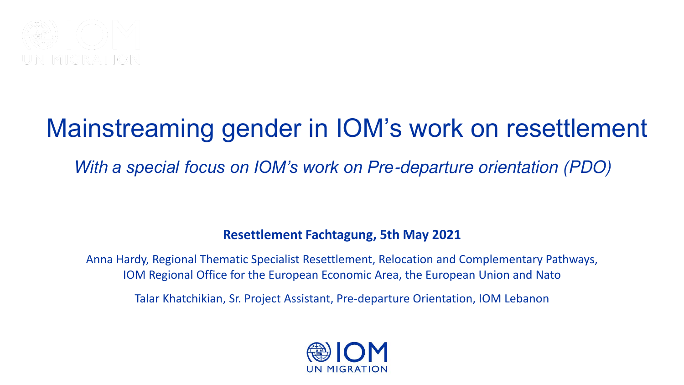

## Mainstreaming gender in IOM's work on resettlement

With *a special focus on IOM's work on Pre*-departure orientation (PDO)

### **Resettlement Fachtagung, 5th May 2021**

Anna Hardy, Regional Thematic Specialist Resettlement, Relocation and Complementary Pathways, IOM Regional Office for the European Economic Area, the European Union and Nato

Talar Khatchikian, Sr. Project Assistant, Pre-departure Orientation, IOM Lebanon

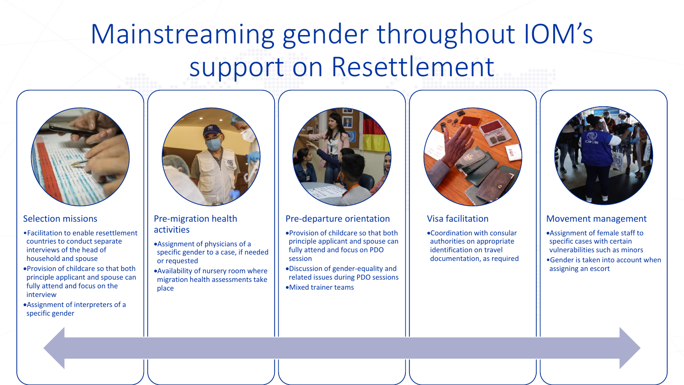## Mainstreaming gender throughout IOM's support on Resettlement



#### Selection missions

- •Facilitation to enable resettlement countries to conduct separate interviews of the head of household and spouse
- •Provision of childcare so that both principle applicant and spouse can fully attend and focus on the interview
- •Assignment of interpreters of a specific gender



#### Pre-migration health activities

- •Assignment of physicians of a specific gender to a case, if needed or requested
- •Availability of nursery room where migration health assessments take place



#### Pre-departure orientation

•Provision of childcare so that both principle applicant and spouse can fully attend and focus on PDO session

•Discussion of gender-equality and related issues during PDO sessions •Mixed trainer teams



#### Visa facilitation

•Coordination with consular authorities on appropriate identification on travel documentation, as required



#### Movement management

•Assignment of female staff to specific cases with certain vulnerabilities such as minors •Gender is taken into account when assigning an escort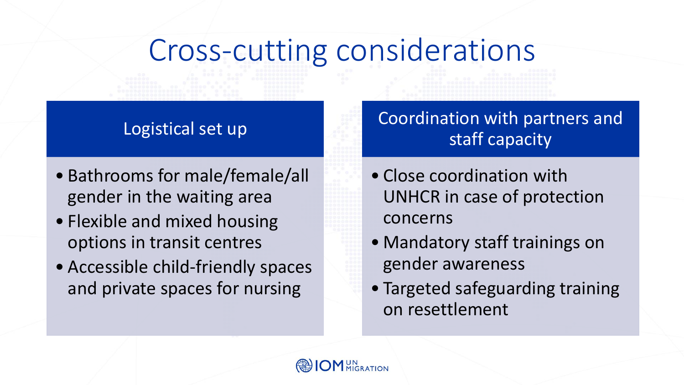# Cross-cutting considerations

### Logistical set up

- Bathrooms for male/female/all gender in the waiting area
- Flexible and mixed housing options in transit centres
- Accessible child-friendly spaces and private spaces for nursing

Coordination with partners and staff capacity

- Close coordination with UNHCR in case of protection concerns
- Mandatory staff trainings on gender awareness
- Targeted safeguarding training on resettlement

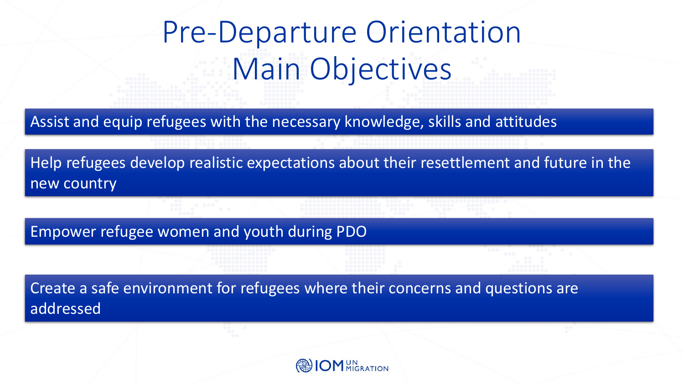# Pre-Departure Orientation Main Objectives

Assist and equip refugees with the necessary knowledge, skills and attitudes

Help refugees develop realistic expectations about their resettlement and future in the new country

Empower refugee women and youth during PDO

Create a safe environment for refugees where their concerns and questions are addressed